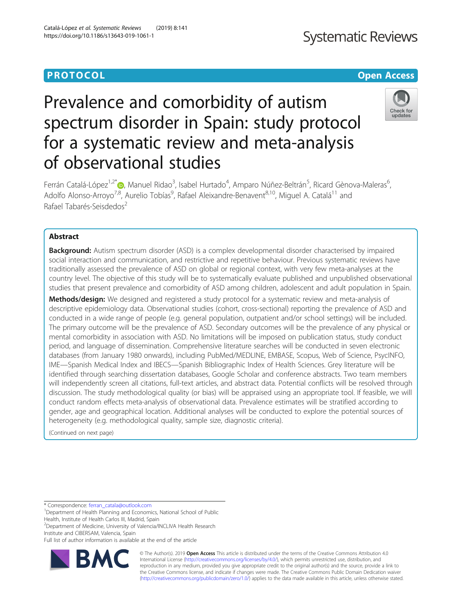# **PROTOCOL CONSUMING THE CONSUMING TEACHER CONSUMING THE CONSUMING TEACHER CONSUMING THE CONSUMING TEACHER CONSUMING**

# Prevalence and comorbidity of autism spectrum disorder in Spain: study protocol for a systematic review and meta-analysis of observational studies

Ferrán Catalá-López<sup>1,2[\\*](http://orcid.org/0000-0002-3833-9312)</sup>®, Manuel Ridao<sup>3</sup>, Isabel Hurtado<sup>4</sup>, Amparo Núñez-Beltrán<sup>5</sup>, Ricard Gènova-Maleras<sup>6</sup> , Adolfo Alonso-Arroyo<sup>7,8</sup>, Aurelio Tobías<sup>9</sup>, Rafael Aleixandre-Benavent<sup>8,10</sup>, Miguel A. Catalá<sup>11</sup> and Rafael Tabarés-Seisdedos<sup>2</sup>

# Abstract

**Background:** Autism spectrum disorder (ASD) is a complex developmental disorder characterised by impaired social interaction and communication, and restrictive and repetitive behaviour. Previous systematic reviews have traditionally assessed the prevalence of ASD on global or regional context, with very few meta-analyses at the country level. The objective of this study will be to systematically evaluate published and unpublished observational studies that present prevalence and comorbidity of ASD among children, adolescent and adult population in Spain.

Methods/design: We designed and registered a study protocol for a systematic review and meta-analysis of descriptive epidemiology data. Observational studies (cohort, cross-sectional) reporting the prevalence of ASD and conducted in a wide range of people (e.g. general population, outpatient and/or school settings) will be included. The primary outcome will be the prevalence of ASD. Secondary outcomes will be the prevalence of any physical or mental comorbidity in association with ASD. No limitations will be imposed on publication status, study conduct period, and language of dissemination. Comprehensive literature searches will be conducted in seven electronic databases (from January 1980 onwards), including PubMed/MEDLINE, EMBASE, Scopus, Web of Science, PsycINFO, IME—Spanish Medical Index and IBECS—Spanish Bibliographic Index of Health Sciences. Grey literature will be identified through searching dissertation databases, Google Scholar and conference abstracts. Two team members will independently screen all citations, full-text articles, and abstract data. Potential conflicts will be resolved through discussion. The study methodological quality (or bias) will be appraised using an appropriate tool. If feasible, we will conduct random effects meta-analysis of observational data. Prevalence estimates will be stratified according to gender, age and geographical location. Additional analyses will be conducted to explore the potential sources of heterogeneity (e.g. methodological quality, sample size, diagnostic criteria).

(Continued on next page)

\* Correspondence: [ferran\\_catala@outlook.com](mailto:ferran_catala@outlook.com) <sup>1</sup>

<sup>1</sup>Department of Health Planning and Economics, National School of Public Health, Institute of Health Carlos III, Madrid, Spain

<sup>2</sup> Department of Medicine, University of Valencia/INCLIVA Health Research Institute and CIBERSAM, Valencia, Spain

Full list of author information is available at the end of the article







© The Author(s). 2019 **Open Access** This article is distributed under the terms of the Creative Commons Attribution 4.0 International License [\(http://creativecommons.org/licenses/by/4.0/](http://creativecommons.org/licenses/by/4.0/)), which permits unrestricted use, distribution, and reproduction in any medium, provided you give appropriate credit to the original author(s) and the source, provide a link to the Creative Commons license, and indicate if changes were made. The Creative Commons Public Domain Dedication waiver [\(http://creativecommons.org/publicdomain/zero/1.0/](http://creativecommons.org/publicdomain/zero/1.0/)) applies to the data made available in this article, unless otherwise stated.

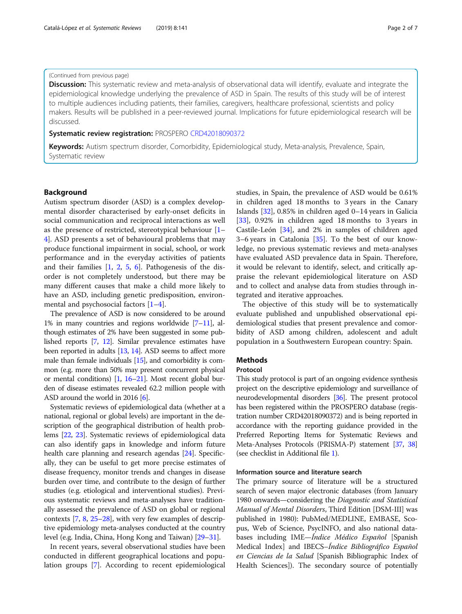# (Continued from previous page)

Discussion: This systematic review and meta-analysis of observational data will identify, evaluate and integrate the epidemiological knowledge underlying the prevalence of ASD in Spain. The results of this study will be of interest to multiple audiences including patients, their families, caregivers, healthcare professional, scientists and policy makers. Results will be published in a peer-reviewed journal. Implications for future epidemiological research will be discussed.

# Systematic review registration: PROSPERO [CRD42018090372](http://www.crd.york.ac.uk/PROSPERO/display_record.php?ID=CRD42018090372)

Keywords: Autism spectrum disorder, Comorbidity, Epidemiological study, Meta-analysis, Prevalence, Spain, Systematic review

# Background

Autism spectrum disorder (ASD) is a complex developmental disorder characterised by early-onset deficits in social communication and reciprocal interactions as well as the presence of restricted, stereotypical behaviour  $[1 [1 [1-$ [4\]](#page-5-0). ASD presents a set of behavioural problems that may produce functional impairment in social, school, or work performance and in the everyday activities of patients and their families [[1,](#page-5-0) [2](#page-5-0), [5,](#page-5-0) [6](#page-5-0)]. Pathogenesis of the disorder is not completely understood, but there may be many different causes that make a child more likely to have an ASD, including genetic predisposition, environmental and psychosocial factors [\[1](#page-5-0)–[4\]](#page-5-0).

The prevalence of ASD is now considered to be around 1% in many countries and regions worldwide  $[7-11]$  $[7-11]$  $[7-11]$ , although estimates of 2% have been suggested in some published reports [\[7](#page-5-0), [12\]](#page-5-0). Similar prevalence estimates have been reported in adults [[13](#page-5-0), [14\]](#page-5-0). ASD seems to affect more male than female individuals [[15](#page-5-0)], and comorbidity is common (e.g. more than 50% may present concurrent physical or mental conditions) [\[1,](#page-5-0) [16](#page-5-0)–[21](#page-5-0)]. Most recent global burden of disease estimates revealed 62.2 million people with ASD around the world in 2016 [\[6](#page-5-0)].

Systematic reviews of epidemiological data (whether at a national, regional or global levels) are important in the description of the geographical distribution of health problems [\[22,](#page-5-0) [23](#page-5-0)]. Systematic reviews of epidemiological data can also identify gaps in knowledge and inform future health care planning and research agendas [[24](#page-5-0)]. Specifically, they can be useful to get more precise estimates of disease frequency, monitor trends and changes in disease burden over time, and contribute to the design of further studies (e.g. etiological and interventional studies). Previous systematic reviews and meta-analyses have traditionally assessed the prevalence of ASD on global or regional contexts [[7](#page-5-0), [8](#page-5-0), [25](#page-5-0)–[28\]](#page-5-0), with very few examples of descriptive epidemiology meta-analyses conducted at the country level (e.g. India, China, Hong Kong and Taiwan) [\[29](#page-5-0)–[31](#page-6-0)].

In recent years, several observational studies have been conducted in different geographical locations and population groups [[7\]](#page-5-0). According to recent epidemiological studies, in Spain, the prevalence of ASD would be 0.61% in children aged 18 months to 3 years in the Canary Islands [\[32](#page-6-0)], 0.85% in children aged 0–14 years in Galicia [[33\]](#page-6-0), 0.92% in children aged 18 months to 3 years in Castile-León [\[34\]](#page-6-0), and 2% in samples of children aged 3–6 years in Catalonia [[35\]](#page-6-0). To the best of our knowledge, no previous systematic reviews and meta-analyses have evaluated ASD prevalence data in Spain. Therefore, it would be relevant to identify, select, and critically appraise the relevant epidemiological literature on ASD and to collect and analyse data from studies through integrated and iterative approaches.

The objective of this study will be to systematically evaluate published and unpublished observational epidemiological studies that present prevalence and comorbidity of ASD among children, adolescent and adult population in a Southwestern European country: Spain.

# **Methods**

# Protocol

This study protocol is part of an ongoing evidence synthesis project on the descriptive epidemiology and surveillance of neurodevelopmental disorders [\[36](#page-6-0)]. The present protocol has been registered within the PROSPERO database (registration number CRD42018090372) and is being reported in accordance with the reporting guidance provided in the Preferred Reporting Items for Systematic Reviews and Meta-Analyses Protocols (PRISMA-P) statement [[37](#page-6-0), [38](#page-6-0)] (see checklist in Additional file [1](#page-4-0)).

# Information source and literature search

The primary source of literature will be a structured search of seven major electronic databases (from January 1980 onwards—considering the Diagnostic and Statistical Manual of Mental Disorders, Third Edition [DSM-III] was published in 1980): PubMed/MEDLINE, EMBASE, Scopus, Web of Science, PsycINFO, and also national databases including IME—Índice Médico Español [Spanish Medical Index] and IBECS–Índice Bibliográfico Español en Ciencias de la Salud [Spanish Bibliographic Index of Health Sciences]). The secondary source of potentially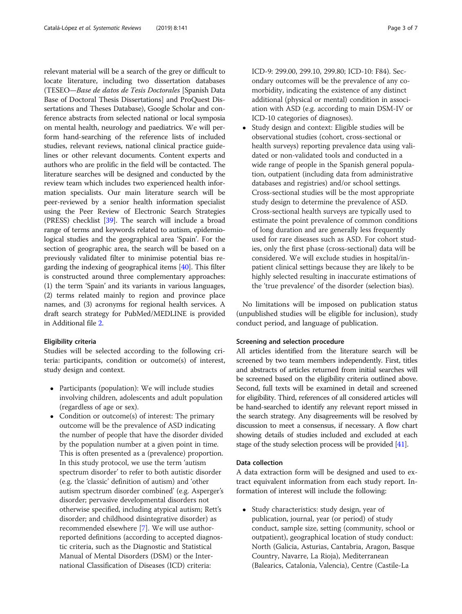relevant material will be a search of the grey or difficult to locate literature, including two dissertation databases (TESEO—Base de datos de Tesis Doctorales [Spanish Data Base of Doctoral Thesis Dissertations] and ProQuest Dissertations and Theses Database), Google Scholar and conference abstracts from selected national or local symposia on mental health, neurology and paediatrics. We will perform hand-searching of the reference lists of included studies, relevant reviews, national clinical practice guidelines or other relevant documents. Content experts and authors who are prolific in the field will be contacted. The literature searches will be designed and conducted by the review team which includes two experienced health information specialists. Our main literature search will be peer-reviewed by a senior health information specialist using the Peer Review of Electronic Search Strategies (PRESS) checklist [[39](#page-6-0)]. The search will include a broad range of terms and keywords related to autism, epidemiological studies and the geographical area 'Spain'. For the section of geographic area, the search will be based on a previously validated filter to minimise potential bias regarding the indexing of geographical items [[40](#page-6-0)]. This filter is constructed around three complementary approaches: (1) the term 'Spain' and its variants in various languages, (2) terms related mainly to region and province place names, and (3) acronyms for regional health services. A draft search strategy for PubMed/MEDLINE is provided in Additional file [2.](#page-4-0)

# Eligibility criteria

Studies will be selected according to the following criteria: participants, condition or outcome(s) of interest, study design and context.

- Participants (population): We will include studies involving children, adolescents and adult population (regardless of age or sex).
- Condition or outcome(s) of interest: The primary outcome will be the prevalence of ASD indicating the number of people that have the disorder divided by the population number at a given point in time. This is often presented as a (prevalence) proportion. In this study protocol, we use the term 'autism spectrum disorder' to refer to both autistic disorder (e.g. the 'classic' definition of autism) and 'other autism spectrum disorder combined' (e.g. Asperger's disorder; pervasive developmental disorders not otherwise specified, including atypical autism; Rett's disorder; and childhood disintegrative disorder) as recommended elsewhere [[7](#page-5-0)]. We will use authorreported definitions (according to accepted diagnostic criteria, such as the Diagnostic and Statistical Manual of Mental Disorders (DSM) or the International Classification of Diseases (ICD) criteria:

ICD-9: 299.00, 299.10, 299.80; ICD-10: F84). Secondary outcomes will be the prevalence of any comorbidity, indicating the existence of any distinct additional (physical or mental) condition in association with ASD (e.g. according to main DSM-IV or ICD-10 categories of diagnoses).

 Study design and context: Eligible studies will be observational studies (cohort, cross-sectional or health surveys) reporting prevalence data using validated or non-validated tools and conducted in a wide range of people in the Spanish general population, outpatient (including data from administrative databases and registries) and/or school settings. Cross-sectional studies will be the most appropriate study design to determine the prevalence of ASD. Cross-sectional health surveys are typically used to estimate the point prevalence of common conditions of long duration and are generally less frequently used for rare diseases such as ASD. For cohort studies, only the first phase (cross-sectional) data will be considered. We will exclude studies in hospital/inpatient clinical settings because they are likely to be highly selected resulting in inaccurate estimations of the 'true prevalence' of the disorder (selection bias).

No limitations will be imposed on publication status (unpublished studies will be eligible for inclusion), study conduct period, and language of publication.

# Screening and selection procedure

All articles identified from the literature search will be screened by two team members independently. First, titles and abstracts of articles returned from initial searches will be screened based on the eligibility criteria outlined above. Second, full texts will be examined in detail and screened for eligibility. Third, references of all considered articles will be hand-searched to identify any relevant report missed in the search strategy. Any disagreements will be resolved by discussion to meet a consensus, if necessary. A flow chart showing details of studies included and excluded at each stage of the study selection process will be provided [\[41\]](#page-6-0).

# Data collection

A data extraction form will be designed and used to extract equivalent information from each study report. Information of interest will include the following:

• Study characteristics: study design, year of publication, journal, year (or period) of study conduct, sample size, setting (community, school or outpatient), geographical location of study conduct: North (Galicia, Asturias, Cantabria, Aragon, Basque Country, Navarre, La Rioja), Mediterranean (Balearics, Catalonia, Valencia), Centre (Castile-La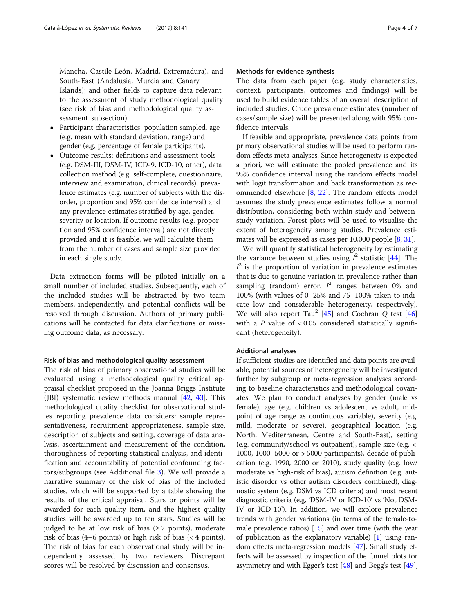Mancha, Castile-León, Madrid, Extremadura), and South-East (Andalusia, Murcia and Canary Islands); and other fields to capture data relevant to the assessment of study methodological quality (see risk of bias and methodological quality assessment subsection).

- Participant characteristics: population sampled, age (e.g. mean with standard deviation, range) and gender (e.g. percentage of female participants).
- Outcome results: definitions and assessment tools (e.g. DSM-III, DSM-IV, ICD-9, ICD-10, other), data collection method (e.g. self-complete, questionnaire, interview and examination, clinical records), prevalence estimates (e.g. number of subjects with the disorder, proportion and 95% confidence interval) and any prevalence estimates stratified by age, gender, severity or location. If outcome results (e.g. proportion and 95% confidence interval) are not directly provided and it is feasible, we will calculate them from the number of cases and sample size provided in each single study.

Data extraction forms will be piloted initially on a small number of included studies. Subsequently, each of the included studies will be abstracted by two team members, independently, and potential conflicts will be resolved through discussion. Authors of primary publications will be contacted for data clarifications or missing outcome data, as necessary.

# Risk of bias and methodological quality assessment

The risk of bias of primary observational studies will be evaluated using a methodological quality critical appraisal checklist proposed in the Joanna Briggs Institute (JBI) systematic review methods manual [\[42,](#page-6-0) [43](#page-6-0)]. This methodological quality checklist for observational studies reporting prevalence data considers: sample representativeness, recruitment appropriateness, sample size, description of subjects and setting, coverage of data analysis, ascertainment and measurement of the condition, thoroughness of reporting statistical analysis, and identification and accountability of potential confounding factors/subgroups (see Additional file [3\)](#page-4-0). We will provide a narrative summary of the risk of bias of the included studies, which will be supported by a table showing the results of the critical appraisal. Stars or points will be awarded for each quality item, and the highest quality studies will be awarded up to ten stars. Studies will be judged to be at low risk of bias ( $\geq$  7 points), moderate risk of bias (4–6 points) or high risk of bias (< 4 points). The risk of bias for each observational study will be independently assessed by two reviewers. Discrepant scores will be resolved by discussion and consensus.

# Methods for evidence synthesis

The data from each paper (e.g. study characteristics, context, participants, outcomes and findings) will be used to build evidence tables of an overall description of included studies. Crude prevalence estimates (number of cases/sample size) will be presented along with 95% confidence intervals.

If feasible and appropriate, prevalence data points from primary observational studies will be used to perform random effects meta-analyses. Since heterogeneity is expected a priori, we will estimate the pooled prevalence and its 95% confidence interval using the random effects model with logit transformation and back transformation as recommended elsewhere [[8,](#page-5-0) [22](#page-5-0)]. The random effects model assumes the study prevalence estimates follow a normal distribution, considering both within-study and betweenstudy variation. Forest plots will be used to visualise the extent of heterogeneity among studies. Prevalence estimates will be expressed as cases per 10,000 people [\[8](#page-5-0), [31\]](#page-6-0).

We will quantify statistical heterogeneity by estimating the variance between studies using  $I^2$  statistic [\[44](#page-6-0)]. The  $I^2$  is the proportion of variation in prevalence estimates that is due to genuine variation in prevalence rather than sampling (random) error.  $I^2$  ranges between 0% and 100% (with values of 0–25% and 75–100% taken to indicate low and considerable heterogeneity, respectively). We will also report Tau<sup>2</sup> [\[45](#page-6-0)] and Cochran Q test [[46](#page-6-0)] with a  $P$  value of  $< 0.05$  considered statistically significant (heterogeneity).

# Additional analyses

If sufficient studies are identified and data points are available, potential sources of heterogeneity will be investigated further by subgroup or meta-regression analyses according to baseline characteristics and methodological covariates. We plan to conduct analyses by gender (male vs female), age (e.g. children vs adolescent vs adult, midpoint of age range as continuous variable), severity (e.g. mild, moderate or severe), geographical location (e.g. North, Mediterranean, Centre and South-East), setting (e.g. community/school vs outpatient), sample size (e.g. < 1000, 1000–5000 or > 5000 participants), decade of publication (e.g. 1990, 2000 or 2010), study quality (e.g. low/ moderate vs high-risk of bias), autism definition (e.g. autistic disorder vs other autism disorders combined), diagnostic system (e.g. DSM vs ICD criteria) and most recent diagnostic criteria (e.g. 'DSM-IV or ICD-10' vs 'Not DSM-IV or ICD-10'). In addition, we will explore prevalence trends with gender variations (in terms of the female-tomale prevalence ratios) [\[15\]](#page-5-0) and over time (with the year of publication as the explanatory variable) [[1\]](#page-5-0) using random effects meta-regression models [[47](#page-6-0)]. Small study effects will be assessed by inspection of the funnel plots for asymmetry and with Egger's test [[48](#page-6-0)] and Begg's test [[49](#page-6-0)],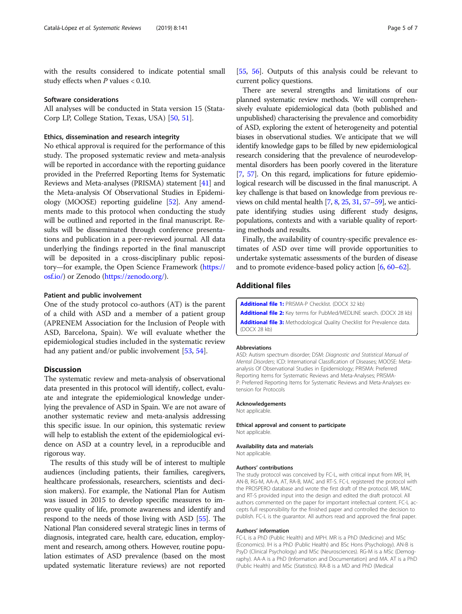<span id="page-4-0"></span>with the results considered to indicate potential small study effects when  $P$  values  $< 0.10$ .

# Software considerations

All analyses will be conducted in Stata version 15 (Stata-Corp LP, College Station, Texas, USA) [[50](#page-6-0), [51](#page-6-0)].

# Ethics, dissemination and research integrity

No ethical approval is required for the performance of this study. The proposed systematic review and meta-analysis will be reported in accordance with the reporting guidance provided in the Preferred Reporting Items for Systematic Reviews and Meta-analyses (PRISMA) statement [[41](#page-6-0)] and the Meta-analysis Of Observational Studies in Epidemiology (MOOSE) reporting guideline [\[52](#page-6-0)]. Any amendments made to this protocol when conducting the study will be outlined and reported in the final manuscript. Results will be disseminated through conference presentations and publication in a peer-reviewed journal. All data underlying the findings reported in the final manuscript will be deposited in a cross-disciplinary public repository—for example, the Open Science Framework [\(https://](https://osf.io/) [osf.io/](https://osf.io/)) or Zenodo ([https://zenodo.org/\)](https://zenodo.org/).

# Patient and public involvement

One of the study protocol co-authors (AT) is the parent of a child with ASD and a member of a patient group (APRENEM Association for the Inclusion of People with ASD, Barcelona, Spain). We will evaluate whether the epidemiological studies included in the systematic review had any patient and/or public involvement [[53,](#page-6-0) [54](#page-6-0)].

# **Discussion**

The systematic review and meta-analysis of observational data presented in this protocol will identify, collect, evaluate and integrate the epidemiological knowledge underlying the prevalence of ASD in Spain. We are not aware of another systematic review and meta-analysis addressing this specific issue. In our opinion, this systematic review will help to establish the extent of the epidemiological evidence on ASD at a country level, in a reproducible and rigorous way.

The results of this study will be of interest to multiple audiences (including patients, their families, caregivers, healthcare professionals, researchers, scientists and decision makers). For example, the National Plan for Autism was issued in 2015 to develop specific measures to improve quality of life, promote awareness and identify and respond to the needs of those living with ASD [\[55\]](#page-6-0). The National Plan considered several strategic lines in terms of diagnosis, integrated care, health care, education, employment and research, among others. However, routine population estimates of ASD prevalence (based on the most updated systematic literature reviews) are not reported

[[55](#page-6-0), [56](#page-6-0)]. Outputs of this analysis could be relevant to current policy questions.

There are several strengths and limitations of our planned systematic review methods. We will comprehensively evaluate epidemiological data (both published and unpublished) characterising the prevalence and comorbidity of ASD, exploring the extent of heterogeneity and potential biases in observational studies. We anticipate that we will identify knowledge gaps to be filled by new epidemiological research considering that the prevalence of neurodevelopmental disorders has been poorly covered in the literature [[7](#page-5-0), [57](#page-6-0)]. On this regard, implications for future epidemiological research will be discussed in the final manuscript. A key challenge is that based on knowledge from previous reviews on child mental health  $[7, 8, 25, 31, 57-59]$  $[7, 8, 25, 31, 57-59]$  $[7, 8, 25, 31, 57-59]$  $[7, 8, 25, 31, 57-59]$  $[7, 8, 25, 31, 57-59]$  $[7, 8, 25, 31, 57-59]$  $[7, 8, 25, 31, 57-59]$  $[7, 8, 25, 31, 57-59]$  $[7, 8, 25, 31, 57-59]$  $[7, 8, 25, 31, 57-59]$  $[7, 8, 25, 31, 57-59]$ , we anticipate identifying studies using different study designs, populations, contexts and with a variable quality of reporting methods and results.

Finally, the availability of country-specific prevalence estimates of ASD over time will provide opportunities to undertake systematic assessments of the burden of disease and to promote evidence-based policy action [[6,](#page-5-0) [60](#page-6-0)–[62](#page-6-0)].

# Additional files

[Additional file 1:](https://doi.org/10.1186/s13643-019-1061-1) PRISMA-P Checklist. (DOCX 32 kb)

[Additional file 2:](https://doi.org/10.1186/s13643-019-1061-1) Key terms for PubMed/MEDLINE search. (DOCX 28 kb) [Additional file 3:](https://doi.org/10.1186/s13643-019-1061-1) Methodological Quality Checklist for Prevalence data.

(DOCX 28 kb)

# Abbreviations

ASD: Autism spectrum disorder; DSM: Diagnostic and Statistical Manual of Mental Disorders; ICD: International Classification of Diseases; MOOSE: Metaanalysis Of Observational Studies in Epidemiology; PRISMA: Preferred Reporting Items for Systematic Reviews and Meta-Analyses; PRISMA-P: Preferred Reporting Items for Systematic Reviews and Meta-Analyses extension for Protocols

# Acknowledgements

Not applicable.

### Ethical approval and consent to participate Not applicable.

# Availability data and materials

Not applicable.

### Authors' contributions

The study protocol was conceived by FC-L, with critical input from MR, IH, AN-B, RG-M, AA-A, AT, RA-B, MAC and RT-S. FC-L registered the protocol with the PROSPERO database and wrote the first draft of the protocol. MR, MAC and RT-S provided input into the design and edited the draft protocol. All authors commented on the paper for important intellectual content. FC-L accepts full responsibility for the finished paper and controlled the decision to publish. FC-L is the guarantor. All authors read and approved the final paper.

#### Authors' information

FC-L is a PhD (Public Health) and MPH. MR is a PhD (Medicine) and MSc (Economics). IH is a PhD (Public Health) and BSc Hons (Psychology). AN-B is PsyD (Clinical Psychology) and MSc (Neurosciences). RG-M is a MSc (Demography). AA-A is a PhD (Information and Documentation) and MA. AT is a PhD (Public Health) and MSc (Statistics). RA-B is a MD and PhD (Medical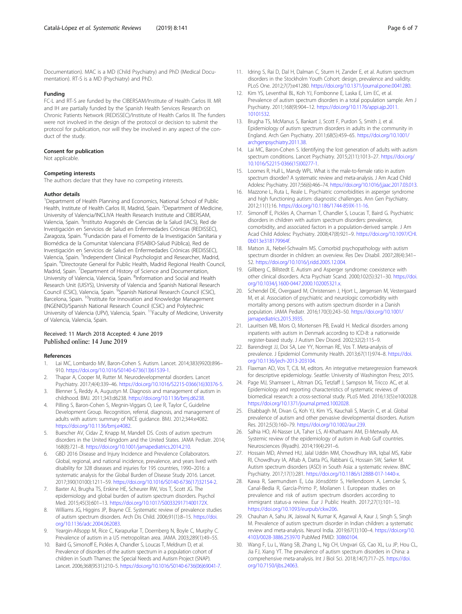<span id="page-5-0"></span>Documentation). MAC is a MD (Child Psychiatry) and PhD (Medical Documentation). RT-S is a MD (Psychiatry) and PhD.

# Funding

FC-L and RT-S are funded by the CIBERSAM/Institute of Health Carlos III. MR and IH are partially funded by the Spanish Health Services Research on Chronic Patients Network (REDISSEC)/Institute of Health Carlos III. The funders were not involved in the design of the protocol or decision to submit the protocol for publication, nor will they be involved in any aspect of the conduct of the study.

# Consent for publication

Not applicable.

# Competing interests

The authors declare that they have no competing interests.

# Author details

<sup>1</sup>Department of Health Planning and Economics, National School of Public Health, Institute of Health Carlos III, Madrid, Spain. <sup>2</sup>Department of Medicine, University of Valencia/INCLIVA Health Research Institute and CIBERSAM, Valencia, Spain. <sup>3</sup>Instituto Aragonés de Ciencias de la Salud (IACS), Red de Investigación en Servicios de Salud en Enfermedades Crónicas (REDISSEC), Zaragoza, Spain. <sup>4</sup>Fundación para el Fomento de la Investigación Sanitaria y Biomédica de la Comunitat Valenciana (FISABIO-Salud Pública), Red de Investigación en Servicios de Salud en Enfermedades Crónicas (REDISSEC), Valencia, Spain. <sup>5</sup>Independent Clinical Psychologist and Researcher, Madrid, Spain. <sup>6</sup>Directorate General for Public Health, Madrid Regional Health Council, Madrid, Spain. <sup>7</sup>Department of History of Science and Documentation, University of Valencia, Valencia, Spain. <sup>8</sup>Information and Social and Health Research Unit (UISYS), University of Valencia and Spanish National Research Council (CSIC), Valencia, Spain. <sup>9</sup>Spanish National Research Council (CSIC), Barcelona, Spain. <sup>10</sup>Institute for Innovation and Knowledge Management (INGENIO)/Spanish National Research Council (CSIC) and Polytechnic University of Valencia (UPV), Valencia, Spain. <sup>11</sup>Faculty of Medicine, University of Valencia, Valencia, Spain.

# Received: 11 March 2018 Accepted: 4 June 2019 Published online: 14 June 2019

# References

- 1. Lai MC, Lombardo MV, Baron-Cohen S. Autism. Lancet. 2014;383(9920):896– 910. [https://doi.org/10.1016/S0140-6736\(13\)61539-1](https://doi.org/10.1016/S0140-6736(13)61539-1).
- 2. Thapar A, Cooper M, Rutter M. Neurodevelopmental disorders. Lancet Psychiatry. 2017;4(4):339–46. [https://doi.org/10.1016/S2215-0366\(16\)30376-5.](https://doi.org/10.1016/S2215-0366(16)30376-5)
- 3. Blenner S, Reddy A, Augustyn M. Diagnosis and management of autism in childhood. BMJ. 2011;343:d6238. [https://doi.org/10.1136/bmj.d6238.](https://doi.org/10.1136/bmj.d6238)
- 4. Pilling S, Baron-Cohen S, Megnin-Viggars O, Lee R, Taylor C, Guideline Development Group. Recognition, referral, diagnosis, and management of adults with autism: summary of NICE guidance. BMJ. 2012;344:e4082. <https://doi.org/10.1136/bmj.e4082>.
- 5. Buescher AV, Cidav Z, Knapp M, Mandell DS. Costs of autism spectrum disorders in the United Kingdom and the United States. JAMA Pediatr. 2014; 168(8):721–8. <https://doi.org/10.1001/jamapediatrics.2014.210>.
- 6. GBD 2016 Disease and Injury Incidence and Prevalence Collaborators. Global, regional, and national incidence, prevalence, and years lived with disability for 328 diseases and injuries for 195 countries, 1990–2016: a systematic analysis for the Global Burden of Disease Study 2016. Lancet. 2017;390(10100):1211–59. [https://doi.org/10.1016/S0140-6736\(17\)32154-2](https://doi.org/10.1016/S0140-6736(17)32154-2).
- Baxter AJ, Brugha TS, Erskine HE, Scheurer RW, Vos T, Scott JG. The epidemiology and global burden of autism spectrum disorders. Psychol Med. 2015;45(3):601–13. <https://doi.org/10.1017/S003329171400172X>.
- 8. Williams JG, Higgins JP, Brayne CE. Systematic review of prevalence studies of autism spectrum disorders. Arch Dis Child. 2006;91(1):8–15. [https://doi.](https://doi.org/10.1136/adc.2004.062083) [org/10.1136/adc.2004.062083.](https://doi.org/10.1136/adc.2004.062083)
- Yeargin-Allsopp M, Rice C, Karapurkar T, Doernberg N, Boyle C, Murphy C. Prevalence of autism in a US metropolitan area. JAMA. 2003;289(1):49–55.
- 10. Baird G, Simonoff E, Pickles A, Chandler S, Loucas T, Meldrum D, et al. Prevalence of disorders of the autism spectrum in a population cohort of children in South Thames: the Special Needs and Autism Project (SNAP). Lancet. 2006;368(9531):210–5. [https://doi.org/10.1016/S0140-6736\(06\)69041-7.](https://doi.org/10.1016/S0140-6736(06)69041-7)
- 11. Idring S, Rai D, Dal H, Dalman C, Sturm H, Zander E, et al. Autism spectrum disorders in the Stockholm Youth Cohort: design, prevalence and validity. PLoS One. 2012;7(7):e41280. <https://doi.org/10.1371/journal.pone.0041280>.
- 12. Kim YS, Leventhal BL, Koh YJ, Fombonne E, Laska E, Lim EC, et al. Prevalence of autism spectrum disorders in a total population sample. Am J Psychiatry. 2011;168(9):904–12. [https://doi.org/10.1176/appi.ajp.2011.](https://doi.org/10.1176/appi.ajp.2011.10101532) [10101532](https://doi.org/10.1176/appi.ajp.2011.10101532).
- 13. Brugha TS, McManus S, Bankart J, Scott F, Purdon S, Smith J, et al. Epidemiology of autism spectrum disorders in adults in the community in England. Arch Gen Psychiatry. 2011;68(5):459–65. [https://doi.org/10.1001/](https://doi.org/10.1001/archgenpsychiatry.2011.38) [archgenpsychiatry.2011.38](https://doi.org/10.1001/archgenpsychiatry.2011.38).
- 14. Lai MC, Baron-Cohen S. Identifying the lost generation of adults with autism spectrum conditions. Lancet Psychiatry. 2015;2(11):1013–27. [https://doi.org/](https://doi.org/10.1016/S2215-0366(15)00277-1) [10.1016/S2215-0366\(15\)00277-1.](https://doi.org/10.1016/S2215-0366(15)00277-1)
- 15. Loomes R, Hull L, Mandy WPL. What is the male-to-female ratio in autism spectrum disorder? A systematic review and meta-analysis. J Am Acad Child Adolesc Psychiatry. 2017;56(6):466–74. <https://doi.org/10.1016/j.jaac.2017.03.013>.
- 16. Mazzone L, Ruta L, Reale L. Psychiatric comorbidities in asperger syndrome and high functioning autism: diagnostic challenges. Ann Gen Psychiatry. 2012;11(1):16. [https://doi.org/10.1186/1744-859X-11-16.](https://doi.org/10.1186/1744-859X-11-16)
- 17. Simonoff E, Pickles A, Charman T, Chandler S, Loucas T, Baird G. Psychiatric disorders in children with autism spectrum disorders: prevalence, comorbidity, and associated factors in a population-derived sample. J Am Acad Child Adolesc Psychiatry. 2008;47(8):921–9. [https://doi.org/10.1097/CHI.](https://doi.org/10.1097/CHI.0b013e318179964f) [0b013e318179964f](https://doi.org/10.1097/CHI.0b013e318179964f).
- 18. Matson JL, Nebel-Schwalm MS. Comorbid psychopathology with autism spectrum disorder in children: an overview. Res Dev Disabil. 2007;28(4):341– 52. <https://doi.org/10.1016/j.ridd.2005.12.004>.
- 19. Gillberg C, Billstedt E. Autism and Asperger syndrome: coexistence with other clinical disorders. Acta Psychiatr Scand. 2000;102(5):321–30. [https://doi.](https://doi.org/10.1034/j.1600-0447.2000.102005321.x) [org/10.1034/j.1600-0447.2000.102005321.x](https://doi.org/10.1034/j.1600-0447.2000.102005321.x).
- 20. Schendel DE, Overgaard M, Christensen J, Hjort L, Jørgensen M, Vestergaard M, et al. Association of psychiatric and neurologic comorbidity with mortality among persons with autism spectrum disorder in a Danish population. JAMA Pediatr. 2016;170(3):243–50. [https://doi.org/10.1001/](https://doi.org/10.1001/jamapediatrics.2015.3935) [jamapediatrics.2015.3935](https://doi.org/10.1001/jamapediatrics.2015.3935).
- 21. Lauritsen MB, Mors O, Mortensen PB, Ewald H. Medical disorders among inpatients with autism in Denmark according to ICD-8: a nationwide register-based study. J Autism Dev Disord. 2002;32(2):115–9.
- 22. Barendregt JJ, Doi SA, Lee YY, Norman RE, Vos T. Meta-analysis of prevalence. J Epidemiol Community Health. 2013;67(11):974–8. [https://doi.](https://doi.org/10.1136/jech-2013-203104) [org/10.1136/jech-2013-203104](https://doi.org/10.1136/jech-2013-203104).
- 23. Flaxman AD, Vos T, CJL M, editors. An integrative metaregression framework for descriptive epidemiology. Seattle: University of Washington Press; 2015.
- 24. Page MJ, Shamseer L, Altman DG, Tetzlaff J, Sampson M, Tricco AC, et al. Epidemiology and reporting characteristics of systematic reviews of biomedical research: a cross-sectional study. PLoS Med. 2016;13(5):e1002028. [https://doi.org/10.1371/journal.pmed.1002028.](https://doi.org/10.1371/journal.pmed.1002028)
- 25. Elsabbagh M, Divan G, Koh YJ, Kim YS, Kauchali S, Marcín C, et al. Global prevalence of autism and other pervasive developmental disorders. Autism Res. 2012;5(3):160–79. [https://doi.org/10.1002/aur.239.](https://doi.org/10.1002/aur.239)
- 26. Salhia HO, Al-Nasser LA, Taher LS, Al-Khathaami AM, El-Metwally AA. Systemic review of the epidemiology of autism in Arab Gulf countries. Neurosciences (Riyadh). 2014;19(4):291–6.
- 27. Hossain MD, Ahmed HU, Jalal Uddin MM, Chowdhury WA, Iqbal MS, Kabir RI, Chowdhury IA, Aftab A, Datta PG, Rabbani G, Hossain SW, Sarker M. Autism spectrum disorders (ASD) in South Asia: a systematic review. BMC Psychiatry. 2017;17(1):281. [https://doi.org/10.1186/s12888-017-1440-x.](https://doi.org/10.1186/s12888-017-1440-x)
- 28. Kawa R, Saemundsen E, Lóa Jónsdóttir S, Hellendoorn A, Lemcke S, Canal-Bedia R, García-Primo P, Moilanen I. European studies on prevalence and risk of autism spectrum disorders according to immigrant status-a review. Eur J Public Health. 2017;27(1):101–10. [https://doi.org/10.1093/eurpub/ckw206.](https://doi.org/10.1093/eurpub/ckw206)
- 29. Chauhan A, Sahu JK, Jaiswal N, Kumar K, Agarwal A, Kaur J, Singh S, Singh M. Prevalence of autism spectrum disorder in Indian children: a systematic review and meta-analysis. Neurol India. 2019;67(1):100–4. [https://doi.org/10.](https://doi.org/10.4103/0028-3886.253970) [4103/0028-3886.253970](https://doi.org/10.4103/0028-3886.253970) PubMed PMID: [30860104.](https://www.ncbi.nlm.nih.gov/pubmed/30860104)
- 30. Wang F, Lu L, Wang SB, Zhang L, Ng CH, Ungvari GS, Cao XL, Lu JP, Hou CL, Jia FJ, Xiang YT. The prevalence of autism spectrum disorders in China: a comprehensive meta-analysis. Int J Biol Sci. 2018;14(7):717–25. [https://doi.](https://doi.org/10.7150/ijbs.24063) [org/10.7150/ijbs.24063.](https://doi.org/10.7150/ijbs.24063)